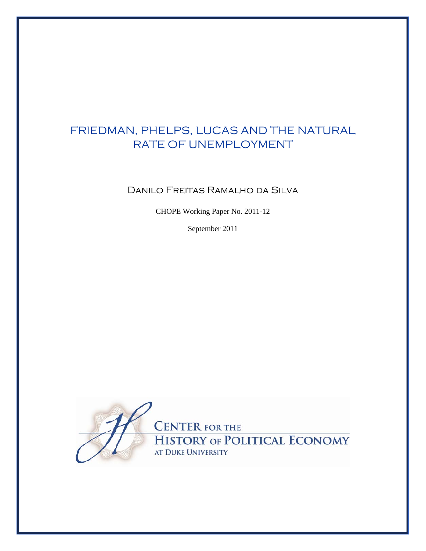# FRIEDMAN, PHELPS, LUCAS AND THE NATURAL RATE OF UNEMPLOYMENT

Danilo Freitas Ramalho da Silva

CHOPE Working Paper No. 2011-12

September 2011

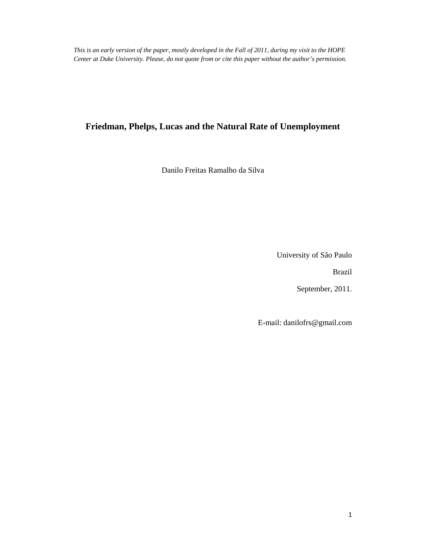*This is an early version of the paper, mostly developed in the Fall of 2011, during my visit to the HOPE Center at Duke University. Please, do not quote from or cite this paper without the author's permission.*

## **Friedman, Phelps, Lucas and the Natural Rate of Unemployment**

Danilo Freitas Ramalho da Silva

University of São Paulo

Brazil

September, 2011.

E-mail: danilofrs@gmail.com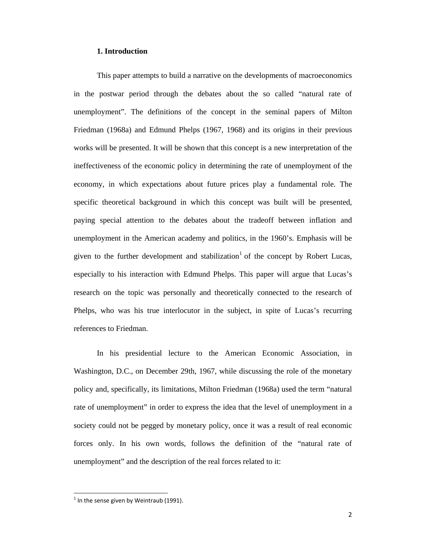## **1. Introduction**

 This paper attempts to build a narrative on the developments of macroeconomics in the postwar period through the debates about the so called "natural rate of unemployment". The definitions of the concept in the seminal papers of Milton Friedman (1968a) and Edmund Phelps (1967, 1968) and its origins in their previous works will be presented. It will be shown that this concept is a new interpretation of the ineffectiveness of the economic policy in determining the rate of unemployment of the economy, in which expectations about future prices play a fundamental role. The specific theoretical background in which this concept was built will be presented, paying special attention to the debates about the tradeoff between inflation and unemployment in the American academy and politics, in the 1960's. Emphasis will be given to the further development and stabilization<sup>1</sup> of the concept by Robert Lucas, especially to his interaction with Edmund Phelps. This paper will argue that Lucas's research on the topic was personally and theoretically connected to the research of Phelps, who was his true interlocutor in the subject, in spite of Lucas's recurring references to Friedman.

 In his presidential lecture to the American Economic Association, in Washington, D.C., on December 29th, 1967, while discussing the role of the monetary policy and, specifically, its limitations, Milton Friedman (1968a) used the term "natural rate of unemployment" in order to express the idea that the level of unemployment in a society could not be pegged by monetary policy, once it was a result of real economic forces only. In his own words, follows the definition of the "natural rate of unemployment" and the description of the real forces related to it:

 $1$  In the sense given by Weintraub (1991).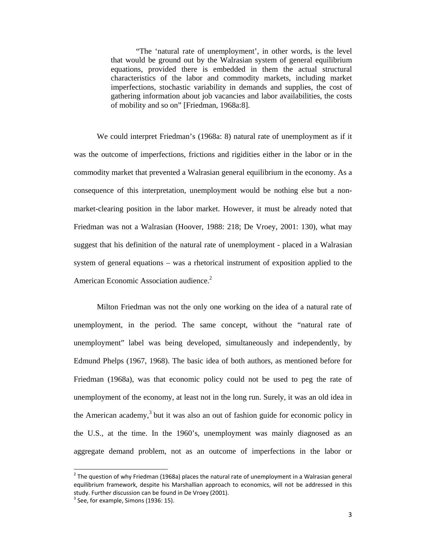"The 'natural rate of unemployment', in other words, is the level that would be ground out by the Walrasian system of general equilibrium equations, provided there is embedded in them the actual structural characteristics of the labor and commodity markets, including market imperfections, stochastic variability in demands and supplies, the cost of gathering information about job vacancies and labor availabilities, the costs of mobility and so on" [Friedman, 1968a:8].

 We could interpret Friedman's (1968a: 8) natural rate of unemployment as if it was the outcome of imperfections, frictions and rigidities either in the labor or in the commodity market that prevented a Walrasian general equilibrium in the economy. As a consequence of this interpretation, unemployment would be nothing else but a nonmarket-clearing position in the labor market. However, it must be already noted that Friedman was not a Walrasian (Hoover, 1988: 218; De Vroey, 2001: 130), what may suggest that his definition of the natural rate of unemployment - placed in a Walrasian system of general equations – was a rhetorical instrument of exposition applied to the American Economic Association audience.<sup>2</sup>

 Milton Friedman was not the only one working on the idea of a natural rate of unemployment, in the period. The same concept, without the "natural rate of unemployment" label was being developed, simultaneously and independently, by Edmund Phelps (1967, 1968). The basic idea of both authors, as mentioned before for Friedman (1968a), was that economic policy could not be used to peg the rate of unemployment of the economy, at least not in the long run. Surely, it was an old idea in the American academy,<sup>3</sup> but it was also an out of fashion guide for economic policy in the U.S., at the time. In the 1960's, unemployment was mainly diagnosed as an aggregate demand problem, not as an outcome of imperfections in the labor or

 $2$  The question of why Friedman (1968a) places the natural rate of unemployment in a Walrasian general equilibrium framework, despite his Marshallian approach to economics, will not be addressed in this study. Further discussion can be found in De Vroey (2001).<br><sup>3</sup> See, for example, Simons (1936: 15).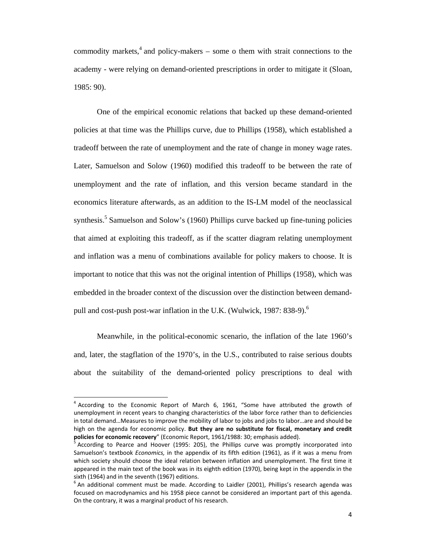commodity markets,<sup>4</sup> and policy-makers – some o them with strait connections to the academy - were relying on demand-oriented prescriptions in order to mitigate it (Sloan, 1985: 90).

One of the empirical economic relations that backed up these demand-oriented policies at that time was the Phillips curve, due to Phillips (1958), which established a tradeoff between the rate of unemployment and the rate of change in money wage rates. Later, Samuelson and Solow (1960) modified this tradeoff to be between the rate of unemployment and the rate of inflation, and this version became standard in the economics literature afterwards, as an addition to the IS-LM model of the neoclassical synthesis.<sup>5</sup> Samuelson and Solow's (1960) Phillips curve backed up fine-tuning policies that aimed at exploiting this tradeoff, as if the scatter diagram relating unemployment and inflation was a menu of combinations available for policy makers to choose. It is important to notice that this was not the original intention of Phillips (1958), which was embedded in the broader context of the discussion over the distinction between demandpull and cost-push post-war inflation in the U.K. (Wulwick, 1987: 838-9).<sup>6</sup>

Meanwhile, in the political-economic scenario, the inflation of the late 1960's and, later, the stagflation of the 1970's, in the U.S., contributed to raise serious doubts about the suitability of the demand-oriented policy prescriptions to deal with

 $4$  According to the Economic Report of March 6, 1961, "Some have attributed the growth of unemployment in recent years to changing characteristics of the labor force rather than to deficiencies in total demand…Measures to improve the mobility of labor to jobs and jobs to labor…are and should be high on the agenda for economic policy. **But they are no substitute for fiscal, monetary and credit**

<sup>&</sup>lt;sup>2</sup> According to Pearce and Hoover (1995: 205), the Phillips curve was promptly incorporated into Samuelson's textbook *Economics,* in the appendix of its fifth edition (1961), as if it was a menu from which society should choose the ideal relation between inflation and unemployment. The first time it appeared in the main text of the book was in its eighth edition (1970), being kept in the appendix in the sixth (1964) and in the seventh (1967) editions.<br>  $\frac{1}{6}$  An additional comment must be made. According to Laidler (2001), Phillips's research agenda was

focused on macrodynamics and his 1958 piece cannot be considered an important part of this agenda. On the contrary, it was a marginal product of his research.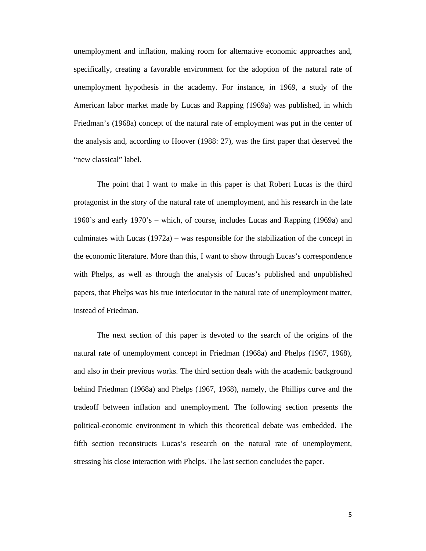unemployment and inflation, making room for alternative economic approaches and, specifically, creating a favorable environment for the adoption of the natural rate of unemployment hypothesis in the academy. For instance, in 1969, a study of the American labor market made by Lucas and Rapping (1969a) was published, in which Friedman's (1968a) concept of the natural rate of employment was put in the center of the analysis and, according to Hoover (1988: 27), was the first paper that deserved the "new classical" label.

 The point that I want to make in this paper is that Robert Lucas is the third protagonist in the story of the natural rate of unemployment, and his research in the late 1960's and early 1970's – which, of course, includes Lucas and Rapping (1969a) and culminates with Lucas (1972a) – was responsible for the stabilization of the concept in the economic literature. More than this, I want to show through Lucas's correspondence with Phelps, as well as through the analysis of Lucas's published and unpublished papers, that Phelps was his true interlocutor in the natural rate of unemployment matter, instead of Friedman.

The next section of this paper is devoted to the search of the origins of the natural rate of unemployment concept in Friedman (1968a) and Phelps (1967, 1968), and also in their previous works. The third section deals with the academic background behind Friedman (1968a) and Phelps (1967, 1968), namely, the Phillips curve and the tradeoff between inflation and unemployment. The following section presents the political-economic environment in which this theoretical debate was embedded. The fifth section reconstructs Lucas's research on the natural rate of unemployment, stressing his close interaction with Phelps. The last section concludes the paper.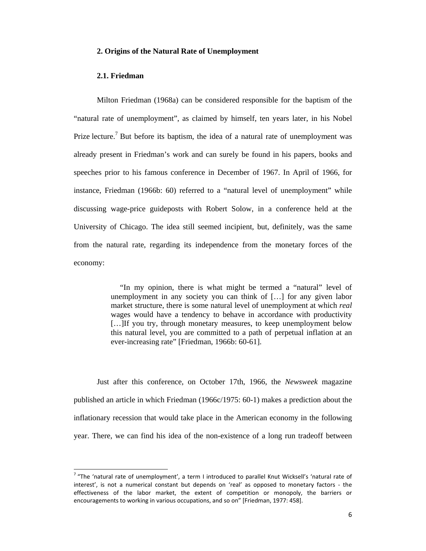## **2. Origins of the Natural Rate of Unemployment**

## **2.1. Friedman**

 Milton Friedman (1968a) can be considered responsible for the baptism of the "natural rate of unemployment", as claimed by himself, ten years later, in his Nobel Prize lecture.<sup>7</sup> But before its baptism, the idea of a natural rate of unemployment was already present in Friedman's work and can surely be found in his papers, books and speeches prior to his famous conference in December of 1967. In April of 1966, for instance, Friedman (1966b: 60) referred to a "natural level of unemployment" while discussing wage-price guideposts with Robert Solow, in a conference held at the University of Chicago. The idea still seemed incipient, but, definitely, was the same from the natural rate, regarding its independence from the monetary forces of the economy:

> "In my opinion, there is what might be termed a "natural" level of unemployment in any society you can think of […] for any given labor market structure, there is some natural level of unemployment at which *real*  wages would have a tendency to behave in accordance with productivity [...] If you try, through monetary measures, to keep unemployment below this natural level, you are committed to a path of perpetual inflation at an ever-increasing rate" [Friedman, 1966b: 60-61].

Just after this conference, on October 17th, 1966, the *Newsweek* magazine published an article in which Friedman (1966c/1975: 60-1) makes a prediction about the inflationary recession that would take place in the American economy in the following year. There, we can find his idea of the non-existence of a long run tradeoff between

 $7$  "The 'natural rate of unemployment', a term I introduced to parallel Knut Wicksell's 'natural rate of interest', is not a numerical constant but depends on 'real' as opposed to monetary factors ‐ the effectiveness of the labor market, the extent of competition or monopoly, the barriers or encouragements to working in various occupations, and so on" [Friedman, 1977: 458].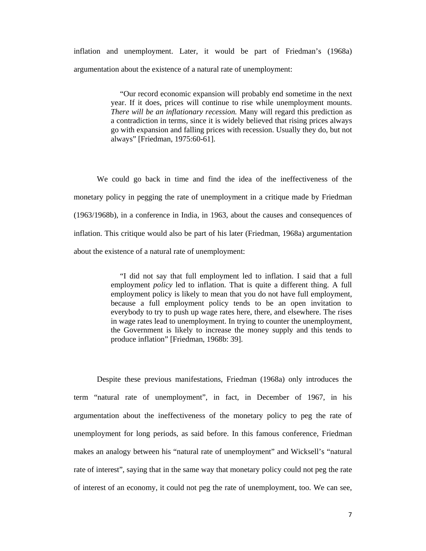inflation and unemployment. Later, it would be part of Friedman's (1968a) argumentation about the existence of a natural rate of unemployment:

> "Our record economic expansion will probably end sometime in the next year. If it does, prices will continue to rise while unemployment mounts. *There will be an inflationary recession.* Many will regard this prediction as a contradiction in terms, since it is widely believed that rising prices always go with expansion and falling prices with recession. Usually they do, but not always" [Friedman, 1975:60-61].

We could go back in time and find the idea of the ineffectiveness of the monetary policy in pegging the rate of unemployment in a critique made by Friedman (1963/1968b), in a conference in India, in 1963, about the causes and consequences of inflation. This critique would also be part of his later (Friedman, 1968a) argumentation about the existence of a natural rate of unemployment:

> "I did not say that full employment led to inflation. I said that a full employment *policy* led to inflation. That is quite a different thing. A full employment policy is likely to mean that you do not have full employment, because a full employment policy tends to be an open invitation to everybody to try to push up wage rates here, there, and elsewhere. The rises in wage rates lead to unemployment. In trying to counter the unemployment, the Government is likely to increase the money supply and this tends to produce inflation" [Friedman, 1968b: 39].

Despite these previous manifestations, Friedman (1968a) only introduces the term "natural rate of unemployment", in fact, in December of 1967, in his argumentation about the ineffectiveness of the monetary policy to peg the rate of unemployment for long periods, as said before. In this famous conference, Friedman makes an analogy between his "natural rate of unemployment" and Wicksell's "natural rate of interest", saying that in the same way that monetary policy could not peg the rate of interest of an economy, it could not peg the rate of unemployment, too. We can see,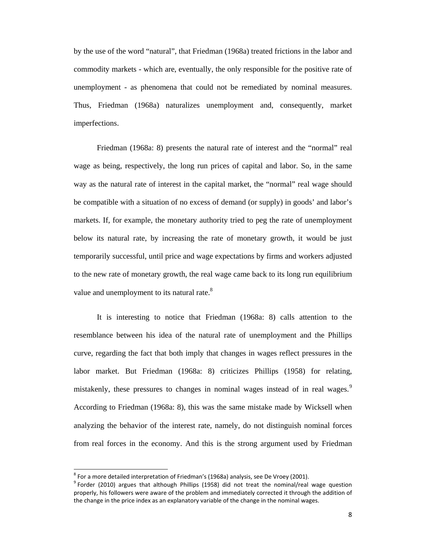by the use of the word "natural", that Friedman (1968a) treated frictions in the labor and commodity markets - which are, eventually, the only responsible for the positive rate of unemployment - as phenomena that could not be remediated by nominal measures. Thus, Friedman (1968a) naturalizes unemployment and, consequently, market imperfections.

Friedman (1968a: 8) presents the natural rate of interest and the "normal" real wage as being, respectively, the long run prices of capital and labor. So, in the same way as the natural rate of interest in the capital market, the "normal" real wage should be compatible with a situation of no excess of demand (or supply) in goods' and labor's markets. If, for example, the monetary authority tried to peg the rate of unemployment below its natural rate, by increasing the rate of monetary growth, it would be just temporarily successful, until price and wage expectations by firms and workers adjusted to the new rate of monetary growth, the real wage came back to its long run equilibrium value and unemployment to its natural rate.<sup>8</sup>

It is interesting to notice that Friedman (1968a: 8) calls attention to the resemblance between his idea of the natural rate of unemployment and the Phillips curve, regarding the fact that both imply that changes in wages reflect pressures in the labor market. But Friedman (1968a: 8) criticizes Phillips (1958) for relating, mistakenly, these pressures to changes in nominal wages instead of in real wages.<sup>9</sup> According to Friedman (1968a: 8), this was the same mistake made by Wicksell when analyzing the behavior of the interest rate, namely, do not distinguish nominal forces from real forces in the economy. And this is the strong argument used by Friedman

<sup>&</sup>lt;sup>8</sup> For a more detailed interpretation of Friedman's (1968a) analysis, see De Vroey (2001).<br><sup>9</sup> Forder (2010) argues that although Phillips (1958) did not treat the nominal/real wage question properly, his followers were aware of the problem and immediately corrected it through the addition of the change in the price index as an explanatory variable of the change in the nominal wages.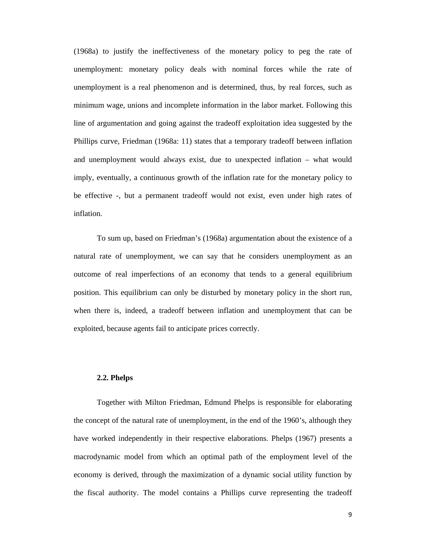(1968a) to justify the ineffectiveness of the monetary policy to peg the rate of unemployment: monetary policy deals with nominal forces while the rate of unemployment is a real phenomenon and is determined, thus, by real forces, such as minimum wage, unions and incomplete information in the labor market. Following this line of argumentation and going against the tradeoff exploitation idea suggested by the Phillips curve, Friedman (1968a: 11) states that a temporary tradeoff between inflation and unemployment would always exist, due to unexpected inflation – what would imply, eventually, a continuous growth of the inflation rate for the monetary policy to be effective -, but a permanent tradeoff would not exist, even under high rates of inflation.

To sum up, based on Friedman's (1968a) argumentation about the existence of a natural rate of unemployment, we can say that he considers unemployment as an outcome of real imperfections of an economy that tends to a general equilibrium position. This equilibrium can only be disturbed by monetary policy in the short run, when there is, indeed, a tradeoff between inflation and unemployment that can be exploited, because agents fail to anticipate prices correctly.

## **2.2. Phelps**

Together with Milton Friedman, Edmund Phelps is responsible for elaborating the concept of the natural rate of unemployment, in the end of the 1960's, although they have worked independently in their respective elaborations. Phelps (1967) presents a macrodynamic model from which an optimal path of the employment level of the economy is derived, through the maximization of a dynamic social utility function by the fiscal authority. The model contains a Phillips curve representing the tradeoff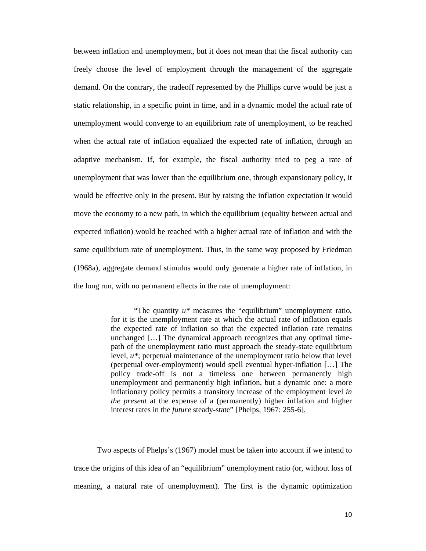between inflation and unemployment, but it does not mean that the fiscal authority can freely choose the level of employment through the management of the aggregate demand. On the contrary, the tradeoff represented by the Phillips curve would be just a static relationship, in a specific point in time, and in a dynamic model the actual rate of unemployment would converge to an equilibrium rate of unemployment, to be reached when the actual rate of inflation equalized the expected rate of inflation, through an adaptive mechanism. If, for example, the fiscal authority tried to peg a rate of unemployment that was lower than the equilibrium one, through expansionary policy, it would be effective only in the present. But by raising the inflation expectation it would move the economy to a new path, in which the equilibrium (equality between actual and expected inflation) would be reached with a higher actual rate of inflation and with the same equilibrium rate of unemployment. Thus, in the same way proposed by Friedman (1968a), aggregate demand stimulus would only generate a higher rate of inflation, in the long run, with no permanent effects in the rate of unemployment:

> "The quantity *u\** measures the "equilibrium" unemployment ratio, for it is the unemployment rate at which the actual rate of inflation equals the expected rate of inflation so that the expected inflation rate remains unchanged […] The dynamical approach recognizes that any optimal timepath of the unemployment ratio must approach the steady-state equilibrium level, *u\**; perpetual maintenance of the unemployment ratio below that level (perpetual over-employment) would spell eventual hyper-inflation […] The policy trade-off is not a timeless one between permanently high unemployment and permanently high inflation, but a dynamic one: a more inflationary policy permits a transitory increase of the employment level *in the present* at the expense of a (permanently) higher inflation and higher interest rates in the *future* steady-state" [Phelps, 1967: 255-6].

 Two aspects of Phelps's (1967) model must be taken into account if we intend to trace the origins of this idea of an "equilibrium" unemployment ratio (or, without loss of meaning, a natural rate of unemployment). The first is the dynamic optimization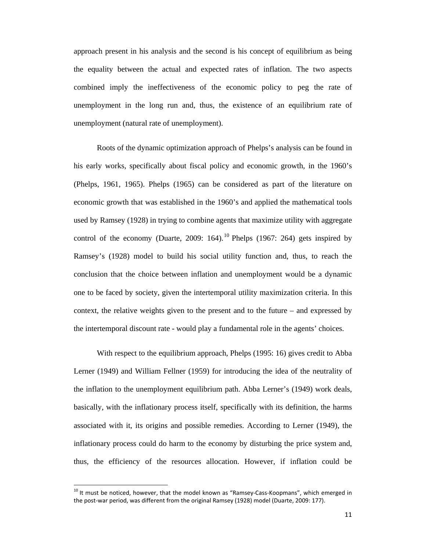approach present in his analysis and the second is his concept of equilibrium as being the equality between the actual and expected rates of inflation. The two aspects combined imply the ineffectiveness of the economic policy to peg the rate of unemployment in the long run and, thus, the existence of an equilibrium rate of unemployment (natural rate of unemployment).

 Roots of the dynamic optimization approach of Phelps's analysis can be found in his early works, specifically about fiscal policy and economic growth, in the 1960's (Phelps, 1961, 1965). Phelps (1965) can be considered as part of the literature on economic growth that was established in the 1960's and applied the mathematical tools used by Ramsey (1928) in trying to combine agents that maximize utility with aggregate control of the economy (Duarte, 2009: 164).<sup>10</sup> Phelps (1967: 264) gets inspired by Ramsey's (1928) model to build his social utility function and, thus, to reach the conclusion that the choice between inflation and unemployment would be a dynamic one to be faced by society, given the intertemporal utility maximization criteria. In this context, the relative weights given to the present and to the future – and expressed by the intertemporal discount rate - would play a fundamental role in the agents' choices.

 With respect to the equilibrium approach, Phelps (1995: 16) gives credit to Abba Lerner (1949) and William Fellner (1959) for introducing the idea of the neutrality of the inflation to the unemployment equilibrium path. Abba Lerner's (1949) work deals, basically, with the inflationary process itself, specifically with its definition, the harms associated with it, its origins and possible remedies. According to Lerner (1949), the inflationary process could do harm to the economy by disturbing the price system and, thus, the efficiency of the resources allocation. However, if inflation could be

 $10$  It must be noticed, however, that the model known as "Ramsey-Cass-Koopmans", which emerged in the post-war period, was different from the original Ramsey (1928) model (Duarte, 2009: 177).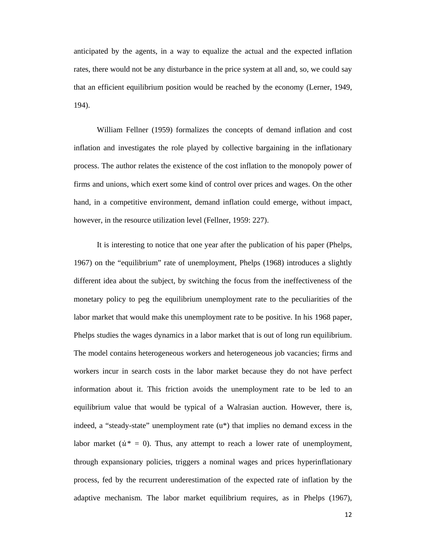anticipated by the agents, in a way to equalize the actual and the expected inflation rates, there would not be any disturbance in the price system at all and, so, we could say that an efficient equilibrium position would be reached by the economy (Lerner, 1949, 194).

 William Fellner (1959) formalizes the concepts of demand inflation and cost inflation and investigates the role played by collective bargaining in the inflationary process. The author relates the existence of the cost inflation to the monopoly power of firms and unions, which exert some kind of control over prices and wages. On the other hand, in a competitive environment, demand inflation could emerge, without impact, however, in the resource utilization level (Fellner, 1959: 227).

It is interesting to notice that one year after the publication of his paper (Phelps, 1967) on the "equilibrium" rate of unemployment, Phelps (1968) introduces a slightly different idea about the subject, by switching the focus from the ineffectiveness of the monetary policy to peg the equilibrium unemployment rate to the peculiarities of the labor market that would make this unemployment rate to be positive. In his 1968 paper, Phelps studies the wages dynamics in a labor market that is out of long run equilibrium. The model contains heterogeneous workers and heterogeneous job vacancies; firms and workers incur in search costs in the labor market because they do not have perfect information about it. This friction avoids the unemployment rate to be led to an equilibrium value that would be typical of a Walrasian auction. However, there is, indeed, a "steady-state" unemployment rate (u\*) that implies no demand excess in the labor market ( $\dot{u}^* = 0$ ). Thus, any attempt to reach a lower rate of unemployment, through expansionary policies, triggers a nominal wages and prices hyperinflationary process, fed by the recurrent underestimation of the expected rate of inflation by the adaptive mechanism. The labor market equilibrium requires, as in Phelps (1967),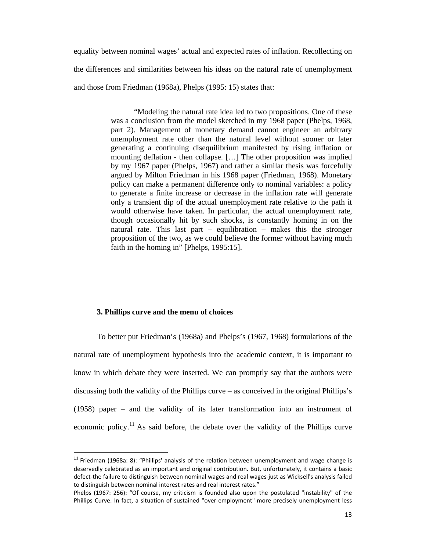equality between nominal wages' actual and expected rates of inflation. Recollecting on the differences and similarities between his ideas on the natural rate of unemployment and those from Friedman (1968a), Phelps (1995: 15) states that:

> "Modeling the natural rate idea led to two propositions. One of these was a conclusion from the model sketched in my 1968 paper (Phelps, 1968, part 2). Management of monetary demand cannot engineer an arbitrary unemployment rate other than the natural level without sooner or later generating a continuing disequilibrium manifested by rising inflation or mounting deflation - then collapse. […] The other proposition was implied by my 1967 paper (Phelps, 1967) and rather a similar thesis was forcefully argued by Milton Friedman in his 1968 paper (Friedman, 1968). Monetary policy can make a permanent difference only to nominal variables: a policy to generate a finite increase or decrease in the inflation rate will generate only a transient dip of the actual unemployment rate relative to the path it would otherwise have taken. In particular, the actual unemployment rate, though occasionally hit by such shocks, is constantly homing in on the natural rate. This last part – equilibration – makes this the stronger proposition of the two, as we could believe the former without having much faith in the homing in" [Phelps, 1995:15].

## **3. Phillips curve and the menu of choices**

To better put Friedman's (1968a) and Phelps's (1967, 1968) formulations of the natural rate of unemployment hypothesis into the academic context, it is important to know in which debate they were inserted. We can promptly say that the authors were discussing both the validity of the Phillips curve – as conceived in the original Phillips's (1958) paper – and the validity of its later transformation into an instrument of economic policy.<sup>11</sup> As said before, the debate over the validity of the Phillips curve

 $11$  Friedman (1968a: 8): "Phillips' analysis of the relation between unemployment and wage change is deservedly celebrated as an important and original contribution. But, unfortunately, it contains a basic defect‐the failure to distinguish between nominal wages and real wages‐just as Wicksell's analysis failed to distinguish between nominal interest rates and real interest rates."

Phelps (1967: 256): "Of course, my criticism is founded also upon the postulated "instability" of the Phillips Curve. In fact, a situation of sustained "over-employment"-more precisely unemployment less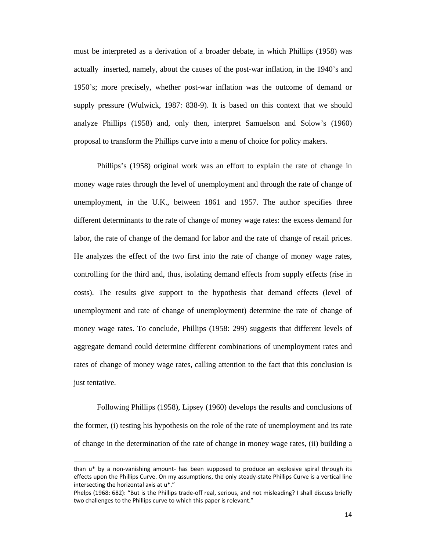must be interpreted as a derivation of a broader debate, in which Phillips (1958) was actually inserted, namely, about the causes of the post-war inflation, in the 1940's and 1950's; more precisely, whether post-war inflation was the outcome of demand or supply pressure (Wulwick, 1987: 838-9). It is based on this context that we should analyze Phillips (1958) and, only then, interpret Samuelson and Solow's (1960) proposal to transform the Phillips curve into a menu of choice for policy makers.

 Phillips's (1958) original work was an effort to explain the rate of change in money wage rates through the level of unemployment and through the rate of change of unemployment, in the U.K., between 1861 and 1957. The author specifies three different determinants to the rate of change of money wage rates: the excess demand for labor, the rate of change of the demand for labor and the rate of change of retail prices. He analyzes the effect of the two first into the rate of change of money wage rates, controlling for the third and, thus, isolating demand effects from supply effects (rise in costs). The results give support to the hypothesis that demand effects (level of unemployment and rate of change of unemployment) determine the rate of change of money wage rates. To conclude, Phillips (1958: 299) suggests that different levels of aggregate demand could determine different combinations of unemployment rates and rates of change of money wage rates, calling attention to the fact that this conclusion is just tentative.

 Following Phillips (1958), Lipsey (1960) develops the results and conclusions of the former, (i) testing his hypothesis on the role of the rate of unemployment and its rate of change in the determination of the rate of change in money wage rates, (ii) building a

<u> La componenta de la componenta de la componenta de la componenta de la componenta de la componenta de la com</u>

than u\* by a non-vanishing amount- has been supposed to produce an explosive spiral through its effects upon the Phillips Curve. On my assumptions, the only steady‐state Phillips Curve is a vertical line intersecting the horizontal axis at u\*."

Phelps (1968: 682): "But is the Phillips trade‐off real, serious, and not misleading? I shall discuss briefly two challenges to the Phillips curve to which this paper is relevant."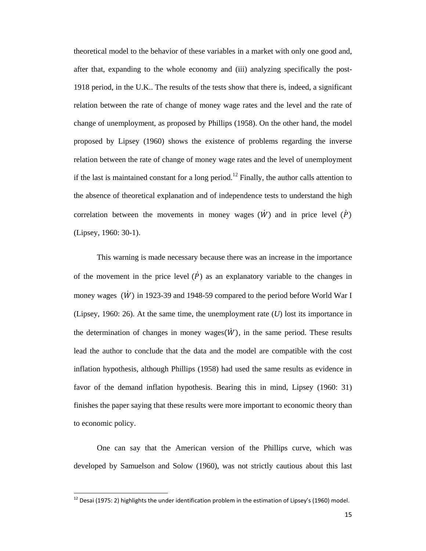theoretical model to the behavior of these variables in a market with only one good and, after that, expanding to the whole economy and (iii) analyzing specifically the post-1918 period, in the U.K.. The results of the tests show that there is, indeed, a significant relation between the rate of change of money wage rates and the level and the rate of change of unemployment, as proposed by Phillips (1958). On the other hand, the model proposed by Lipsey (1960) shows the existence of problems regarding the inverse relation between the rate of change of money wage rates and the level of unemployment if the last is maintained constant for a long period.<sup>12</sup> Finally, the author calls attention to the absence of theoretical explanation and of independence tests to understand the high correlation between the movements in money wages  $(\dot{W})$  and in price level  $(\dot{P})$ (Lipsey, 1960: 30-1).

 This warning is made necessary because there was an increase in the importance of the movement in the price level  $(\dot{P})$  as an explanatory variable to the changes in money wages  $(\dot{W})$  in 1923-39 and 1948-59 compared to the period before World War I (Lipsey, 1960: 26). At the same time, the unemployment rate (*U*) lost its importance in the determination of changes in money wages $(\dot{W})$ , in the same period. These results lead the author to conclude that the data and the model are compatible with the cost inflation hypothesis, although Phillips (1958) had used the same results as evidence in favor of the demand inflation hypothesis. Bearing this in mind, Lipsey (1960: 31) finishes the paper saying that these results were more important to economic theory than to economic policy.

 One can say that the American version of the Phillips curve, which was developed by Samuelson and Solow (1960), was not strictly cautious about this last

<sup>&</sup>lt;sup>12</sup> Desai (1975: 2) highlights the under identification problem in the estimation of Lipsey's (1960) model.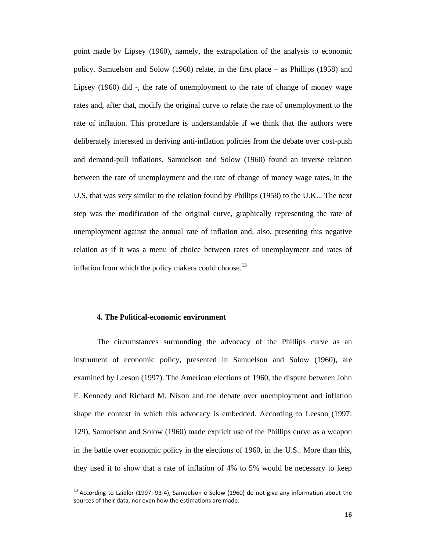point made by Lipsey (1960), namely, the extrapolation of the analysis to economic policy. Samuelson and Solow (1960) relate, in the first place – as Phillips (1958) and Lipsey (1960) did -, the rate of unemployment to the rate of change of money wage rates and, after that, modify the original curve to relate the rate of unemployment to the rate of inflation. This procedure is understandable if we think that the authors were deliberately interested in deriving anti-inflation policies from the debate over cost-push and demand-pull inflations. Samuelson and Solow (1960) found an inverse relation between the rate of unemployment and the rate of change of money wage rates, in the U.S. that was very similar to the relation found by Phillips (1958) to the U.K... The next step was the modification of the original curve, graphically representing the rate of unemployment against the annual rate of inflation and, also, presenting this negative relation as if it was a menu of choice between rates of unemployment and rates of inflation from which the policy makers could choose.<sup>13</sup>

## **4. The Political-economic environment**

The circumstances surrounding the advocacy of the Phillips curve as an instrument of economic policy, presented in Samuelson and Solow (1960), are examined by Leeson (1997). The American elections of 1960, the dispute between John F. Kennedy and Richard M. Nixon and the debate over unemployment and inflation shape the context in which this advocacy is embedded. According to Leeson (1997: 129), Samuelson and Solow (1960) made explicit use of the Phillips curve as a weapon in the battle over economic policy in the elections of 1960, in the U.S.. More than this, they used it to show that a rate of inflation of 4% to 5% would be necessary to keep

 $13$  According to Laidler (1997: 93-4), Samuelson e Solow (1960) do not give any information about the sources of their data, nor even how the estimations are made.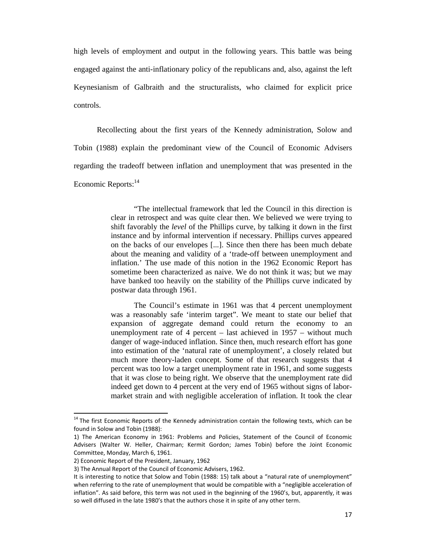high levels of employment and output in the following years. This battle was being engaged against the anti-inflationary policy of the republicans and, also, against the left Keynesianism of Galbraith and the structuralists, who claimed for explicit price controls.

 Recollecting about the first years of the Kennedy administration, Solow and Tobin (1988) explain the predominant view of the Council of Economic Advisers regarding the tradeoff between inflation and unemployment that was presented in the Economic Reports:<sup>14</sup>

> "The intellectual framework that led the Council in this direction is clear in retrospect and was quite clear then. We believed we were trying to shift favorably the *level* of the Phillips curve, by talking it down in the first instance and by informal intervention if necessary. Phillips curves appeared on the backs of our envelopes [...]. Since then there has been much debate about the meaning and validity of a 'trade-off between unemployment and inflation.' The use made of this notion in the 1962 Economic Report has sometime been characterized as naive. We do not think it was; but we may have banked too heavily on the stability of the Phillips curve indicated by postwar data through 1961.

> The Council's estimate in 1961 was that 4 percent unemployment was a reasonably safe 'interim target". We meant to state our belief that expansion of aggregate demand could return the economy to an unemployment rate of 4 percent – last achieved in 1957 – without much danger of wage-induced inflation. Since then, much research effort has gone into estimation of the 'natural rate of unemployment', a closely related but much more theory-laden concept. Some of that research suggests that 4 percent was too low a target unemployment rate in 1961, and some suggests that it was close to being right. We observe that the unemployment rate did indeed get down to 4 percent at the very end of 1965 without signs of labormarket strain and with negligible acceleration of inflation. It took the clear

 $14$  The first Economic Reports of the Kennedy administration contain the following texts, which can be found in Solow and Tobin (1988):

<sup>1)</sup> The American Economy in 1961: Problems and Policies, Statement of the Council of Economic Advisers (Walter W. Heller, Chairman; Kermit Gordon; James Tobin) before the Joint Economic Committee, Monday, March 6, 1961.

<sup>2)</sup> Economic Report of the President, January, 1962

<sup>3)</sup> The Annual Report of the Council of Economic Advisers, 1962.

It is interesting to notice that Solow and Tobin (1988: 15) talk about a "natural rate of unemployment" when referring to the rate of unemployment that would be compatible with a "negligible acceleration of inflation". As said before, this term was not used in the beginning of the 1960's, but, apparently, it was so well diffused in the late 1980's that the authors chose it in spite of any other term.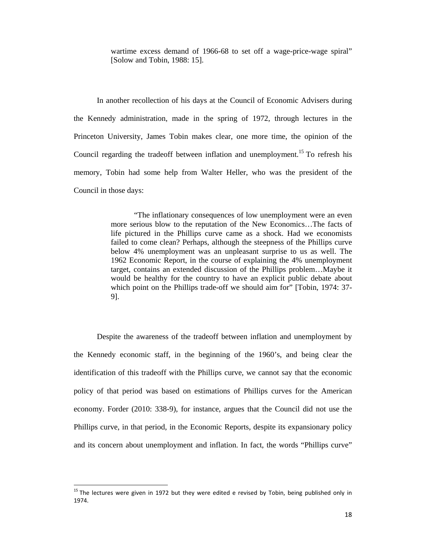wartime excess demand of 1966-68 to set off a wage-price-wage spiral" [Solow and Tobin, 1988: 15].

 In another recollection of his days at the Council of Economic Advisers during the Kennedy administration, made in the spring of 1972, through lectures in the Princeton University, James Tobin makes clear, one more time, the opinion of the Council regarding the tradeoff between inflation and unemployment.<sup>15</sup> To refresh his memory, Tobin had some help from Walter Heller, who was the president of the Council in those days:

> "The inflationary consequences of low unemployment were an even more serious blow to the reputation of the New Economics…The facts of life pictured in the Phillips curve came as a shock. Had we economists failed to come clean? Perhaps, although the steepness of the Phillips curve below 4% unemployment was an unpleasant surprise to us as well. The 1962 Economic Report, in the course of explaining the 4% unemployment target, contains an extended discussion of the Phillips problem…Maybe it would be healthy for the country to have an explicit public debate about which point on the Phillips trade-off we should aim for" [Tobin, 1974: 37-9].

 Despite the awareness of the tradeoff between inflation and unemployment by the Kennedy economic staff, in the beginning of the 1960's, and being clear the identification of this tradeoff with the Phillips curve, we cannot say that the economic policy of that period was based on estimations of Phillips curves for the American economy. Forder (2010: 338-9), for instance, argues that the Council did not use the Phillips curve, in that period, in the Economic Reports, despite its expansionary policy and its concern about unemployment and inflation. In fact, the words "Phillips curve"

 $15$  The lectures were given in 1972 but they were edited e revised by Tobin, being published only in 1974.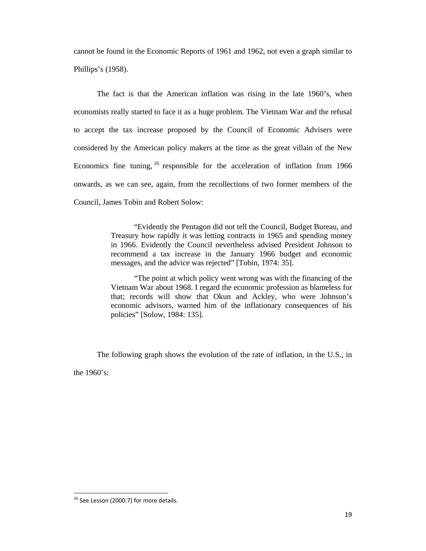cannot be found in the Economic Reports of 1961 and 1962, not even a graph similar to Phillips's (1958).

 The fact is that the American inflation was rising in the late 1960's, when economists really started to face it as a huge problem. The Vietnam War and the refusal to accept the tax increase proposed by the Council of Economic Advisers were considered by the American policy makers at the time as the great villain of the New Economics fine tuning,  $^{16}$  responsible for the acceleration of inflation from 1966 onwards, as we can see, again, from the recollections of two former members of the Council, James Tobin and Robert Solow:

> "Evidently the Pentagon did not tell the Council, Budget Bureau, and Treasury how rapidly it was letting contracts in 1965 and spending money in 1966. Evidently the Council nevertheless advised President Johnson to recommend a tax increase in the January 1966 budget and economic messages, and the advice was rejected" [Tobin, 1974: 35].

> "The point at which policy went wrong was with the financing of the Vietnam War about 1968. I regard the economic profession as blameless for that; records will show that Okun and Ackley, who were Johnson's economic advisors, warned him of the inflationary consequences of his policies" [Solow, 1984: 135].

 The following graph shows the evolution of the rate of inflation, in the U.S., in the 1960's:

  $<sup>16</sup>$  See Lesson (2000:7) for more details.</sup>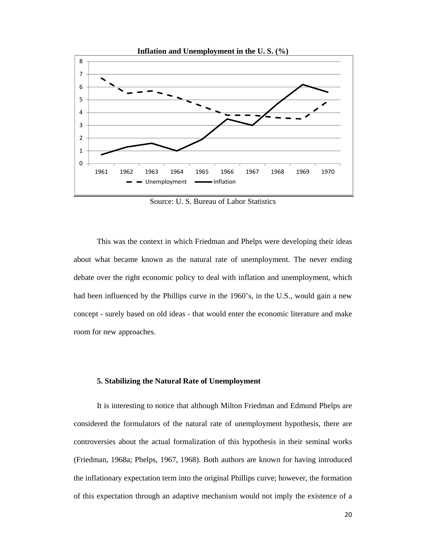

Source: U. S. Bureau of Labor Statistics

 This was the context in which Friedman and Phelps were developing their ideas about what became known as the natural rate of unemployment. The never ending debate over the right economic policy to deal with inflation and unemployment, which had been influenced by the Phillips curve in the 1960's, in the U.S., would gain a new concept - surely based on old ideas - that would enter the economic literature and make room for new approaches.

#### **5. Stabilizing the Natural Rate of Unemployment**

It is interesting to notice that although Milton Friedman and Edmund Phelps are considered the formulators of the natural rate of unemployment hypothesis, there are controversies about the actual formalization of this hypothesis in their seminal works (Friedman, 1968a; Phelps, 1967, 1968). Both authors are known for having introduced the inflationary expectation term into the original Phillips curve; however, the formation of this expectation through an adaptive mechanism would not imply the existence of a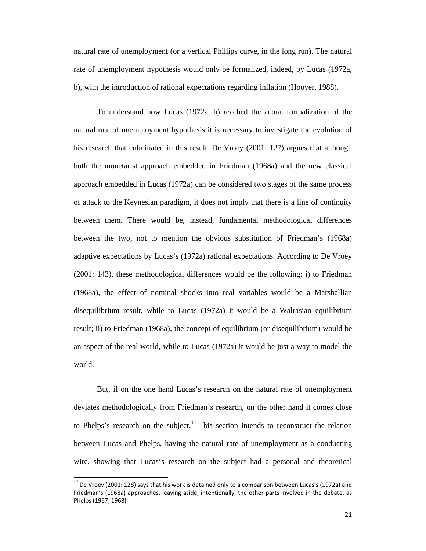natural rate of unemployment (or a vertical Phillips curve, in the long run). The natural rate of unemployment hypothesis would only be formalized, indeed, by Lucas (1972a, b), with the introduction of rational expectations regarding inflation (Hoover, 1988).

To understand how Lucas (1972a, b) reached the actual formalization of the natural rate of unemployment hypothesis it is necessary to investigate the evolution of his research that culminated in this result. De Vroey (2001: 127) argues that although both the monetarist approach embedded in Friedman (1968a) and the new classical approach embedded in Lucas (1972a) can be considered two stages of the same process of attack to the Keynesian paradigm, it does not imply that there is a line of continuity between them. There would be, instead, fundamental methodological differences between the two, not to mention the obvious substitution of Friedman's (1968a) adaptive expectations by Lucas's (1972a) rational expectations. According to De Vroey (2001: 143), these methodological differences would be the following: i) to Friedman (1968a), the effect of nominal shocks into real variables would be a Marshallian disequilibrium result, while to Lucas (1972a) it would be a Walrasian equilibrium result; ii) to Friedman (1968a), the concept of equilibrium (or disequilibrium) would be an aspect of the real world, while to Lucas (1972a) it would be just a way to model the world.

But, if on the one hand Lucas's research on the natural rate of unemployment deviates methodologically from Friedman's research, on the other hand it comes close to Phelps's research on the subject.<sup>17</sup> This section intends to reconstruct the relation between Lucas and Phelps, having the natural rate of unemployment as a conducting wire, showing that Lucas's research on the subject had a personal and theoretical

 $17$  De Vroey (2001: 128) says that his work is detained only to a comparison between Lucas's (1972a) and Friedman's (1968a) approaches, leaving aside, intentionally, the other parts involved in the debate, as Phelps (1967, 1968).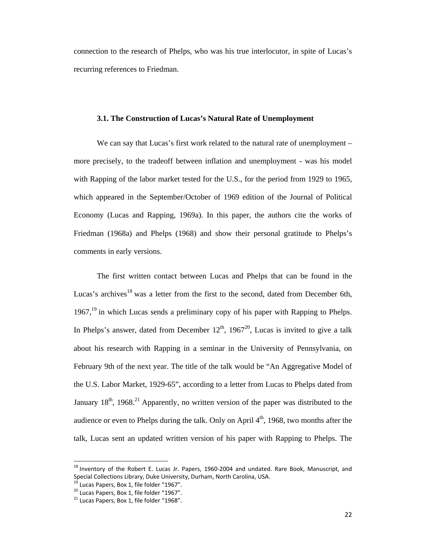connection to the research of Phelps, who was his true interlocutor, in spite of Lucas's recurring references to Friedman.

## **3.1. The Construction of Lucas's Natural Rate of Unemployment**

We can say that Lucas's first work related to the natural rate of unemployment – more precisely, to the tradeoff between inflation and unemployment - was his model with Rapping of the labor market tested for the U.S., for the period from 1929 to 1965, which appeared in the September/October of 1969 edition of the Journal of Political Economy (Lucas and Rapping, 1969a). In this paper, the authors cite the works of Friedman (1968a) and Phelps (1968) and show their personal gratitude to Phelps's comments in early versions.

 The first written contact between Lucas and Phelps that can be found in the Lucas's archives<sup>18</sup> was a letter from the first to the second, dated from December 6th,  $1967<sup>19</sup>$  in which Lucas sends a preliminary copy of his paper with Rapping to Phelps. In Phelps's answer, dated from December  $12<sup>th</sup>$ , 1967<sup>20</sup>, Lucas is invited to give a talk about his research with Rapping in a seminar in the University of Pennsylvania, on February 9th of the next year. The title of the talk would be "An Aggregative Model of the U.S. Labor Market, 1929-65", according to a letter from Lucas to Phelps dated from January  $18<sup>th</sup>$ , 1968.<sup>21</sup> Apparently, no written version of the paper was distributed to the audience or even to Phelps during the talk. Only on April  $4<sup>th</sup>$ , 1968, two months after the talk, Lucas sent an updated written version of his paper with Rapping to Phelps. The

<sup>&</sup>lt;sup>18</sup> Inventory of the Robert E. Lucas Jr. Papers, 1960-2004 and undated. Rare Book, Manuscript, and Special Collections Library, Duke University, Durham, North Carolina, USA.<br><sup>19</sup> Lucas Papers, Box 1, file folder "1967".<br><sup>20</sup> Lucas Papers, Box 1, file folder "1968".<br><sup>21</sup> Lucas Papers, Box 1, file folder "1968".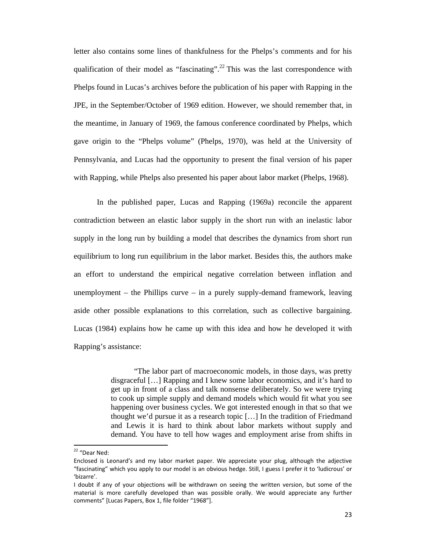letter also contains some lines of thankfulness for the Phelps's comments and for his qualification of their model as "fascinating".<sup>22</sup> This was the last correspondence with Phelps found in Lucas's archives before the publication of his paper with Rapping in the JPE, in the September/October of 1969 edition. However, we should remember that, in the meantime, in January of 1969, the famous conference coordinated by Phelps, which gave origin to the "Phelps volume" (Phelps, 1970), was held at the University of Pennsylvania, and Lucas had the opportunity to present the final version of his paper with Rapping, while Phelps also presented his paper about labor market (Phelps, 1968).

 In the published paper, Lucas and Rapping (1969a) reconcile the apparent contradiction between an elastic labor supply in the short run with an inelastic labor supply in the long run by building a model that describes the dynamics from short run equilibrium to long run equilibrium in the labor market. Besides this, the authors make an effort to understand the empirical negative correlation between inflation and unemployment – the Phillips curve – in a purely supply-demand framework, leaving aside other possible explanations to this correlation, such as collective bargaining. Lucas (1984) explains how he came up with this idea and how he developed it with Rapping's assistance:

> "The labor part of macroeconomic models, in those days, was pretty disgraceful […] Rapping and I knew some labor economics, and it's hard to get up in front of a class and talk nonsense deliberately. So we were trying to cook up simple supply and demand models which would fit what you see happening over business cycles. We got interested enough in that so that we thought we'd pursue it as a research topic […] In the tradition of Friedmand and Lewis it is hard to think about labor markets without supply and demand. You have to tell how wages and employment arise from shifts in

<sup>22</sup> "Dear Ned:

Enclosed is Leonard's and my labor market paper. We appreciate your plug, although the adjective "fascinating" which you apply to our model is an obvious hedge. Still, I guess I prefer it to 'ludicrous' or 'bizarre'.

I doubt if any of your objections will be withdrawn on seeing the written version, but some of the material is more carefully developed than was possible orally. We would appreciate any further comments" [Lucas Papers, Box 1, file folder "1968"].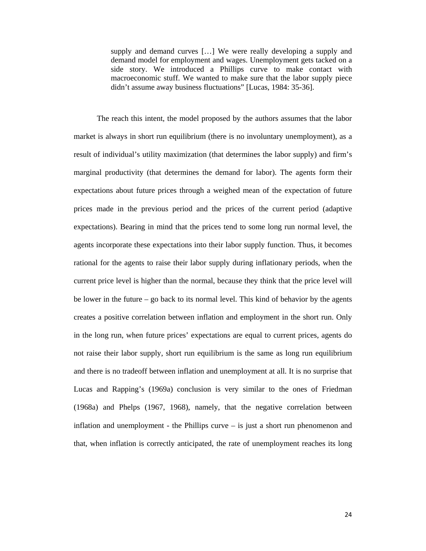supply and demand curves […] We were really developing a supply and demand model for employment and wages. Unemployment gets tacked on a side story. We introduced a Phillips curve to make contact with macroeconomic stuff. We wanted to make sure that the labor supply piece didn't assume away business fluctuations" [Lucas, 1984: 35-36].

 The reach this intent, the model proposed by the authors assumes that the labor market is always in short run equilibrium (there is no involuntary unemployment), as a result of individual's utility maximization (that determines the labor supply) and firm's marginal productivity (that determines the demand for labor). The agents form their expectations about future prices through a weighed mean of the expectation of future prices made in the previous period and the prices of the current period (adaptive expectations). Bearing in mind that the prices tend to some long run normal level, the agents incorporate these expectations into their labor supply function. Thus, it becomes rational for the agents to raise their labor supply during inflationary periods, when the current price level is higher than the normal, because they think that the price level will be lower in the future – go back to its normal level. This kind of behavior by the agents creates a positive correlation between inflation and employment in the short run. Only in the long run, when future prices' expectations are equal to current prices, agents do not raise their labor supply, short run equilibrium is the same as long run equilibrium and there is no tradeoff between inflation and unemployment at all. It is no surprise that Lucas and Rapping's (1969a) conclusion is very similar to the ones of Friedman (1968a) and Phelps (1967, 1968), namely, that the negative correlation between inflation and unemployment - the Phillips curve – is just a short run phenomenon and that, when inflation is correctly anticipated, the rate of unemployment reaches its long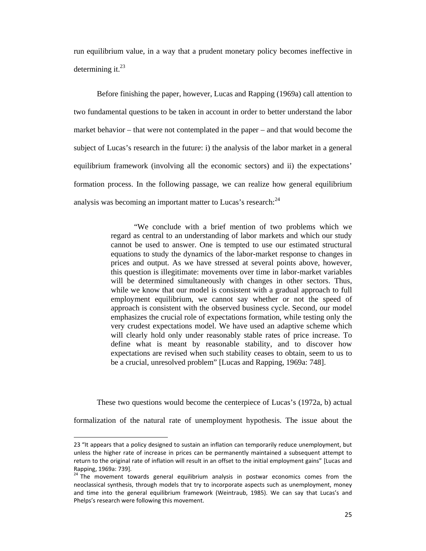run equilibrium value, in a way that a prudent monetary policy becomes ineffective in determining it. $^{23}$ 

 Before finishing the paper, however, Lucas and Rapping (1969a) call attention to two fundamental questions to be taken in account in order to better understand the labor market behavior – that were not contemplated in the paper – and that would become the subject of Lucas's research in the future: i) the analysis of the labor market in a general equilibrium framework (involving all the economic sectors) and ii) the expectations' formation process. In the following passage, we can realize how general equilibrium analysis was becoming an important matter to Lucas's research: $^{24}$ 

> "We conclude with a brief mention of two problems which we regard as central to an understanding of labor markets and which our study cannot be used to answer. One is tempted to use our estimated structural equations to study the dynamics of the labor-market response to changes in prices and output. As we have stressed at several points above, however, this question is illegitimate: movements over time in labor-market variables will be determined simultaneously with changes in other sectors. Thus, while we know that our model is consistent with a gradual approach to full employment equilibrium, we cannot say whether or not the speed of approach is consistent with the observed business cycle. Second, our model emphasizes the crucial role of expectations formation, while testing only the very crudest expectations model. We have used an adaptive scheme which will clearly hold only under reasonably stable rates of price increase. To define what is meant by reasonable stability, and to discover how expectations are revised when such stability ceases to obtain, seem to us to be a crucial, unresolved problem" [Lucas and Rapping, 1969a: 748].

These two questions would become the centerpiece of Lucas's (1972a, b) actual

formalization of the natural rate of unemployment hypothesis. The issue about the

<sup>23 &</sup>quot;It appears that a policy designed to sustain an inflation can temporarily reduce unemployment, but unless the higher rate of increase in prices can be permanently maintained a subsequent attempt to return to the original rate of inflation will result in an offset to the initial employment gains" [Lucas and Rapping, 1969a: 739].

 $A<sup>24</sup>$  The movement towards general equilibrium analysis in postwar economics comes from the neoclassical synthesis, through models that try to incorporate aspects such as unemployment, money and time into the general equilibrium framework (Weintraub, 1985). We can say that Lucas's and Phelps's research were following this movement.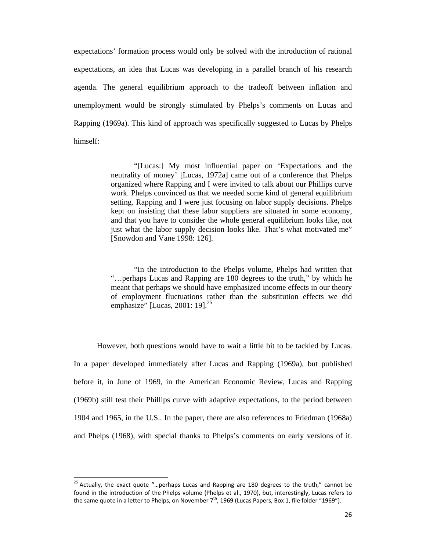expectations' formation process would only be solved with the introduction of rational expectations, an idea that Lucas was developing in a parallel branch of his research agenda. The general equilibrium approach to the tradeoff between inflation and unemployment would be strongly stimulated by Phelps's comments on Lucas and Rapping (1969a). This kind of approach was specifically suggested to Lucas by Phelps himself:

> "[Lucas:] My most influential paper on 'Expectations and the neutrality of money' [Lucas, 1972a] came out of a conference that Phelps organized where Rapping and I were invited to talk about our Phillips curve work. Phelps convinced us that we needed some kind of general equilibrium setting. Rapping and I were just focusing on labor supply decisions. Phelps kept on insisting that these labor suppliers are situated in some economy, and that you have to consider the whole general equilibrium looks like, not just what the labor supply decision looks like. That's what motivated me" [Snowdon and Vane 1998: 126].

> "In the introduction to the Phelps volume, Phelps had written that "…perhaps Lucas and Rapping are 180 degrees to the truth," by which he meant that perhaps we should have emphasized income effects in our theory of employment fluctuations rather than the substitution effects we did emphasize" [Lucas, 2001: 19]. $^{25}$

However, both questions would have to wait a little bit to be tackled by Lucas. In a paper developed immediately after Lucas and Rapping (1969a), but published before it, in June of 1969, in the American Economic Review, Lucas and Rapping (1969b) still test their Phillips curve with adaptive expectations, to the period between 1904 and 1965, in the U.S.. In the paper, there are also references to Friedman (1968a) and Phelps (1968), with special thanks to Phelps's comments on early versions of it.

<sup>&</sup>lt;sup>25</sup> Actually, the exact quote "...perhaps Lucas and Rapping are 180 degrees to the truth," cannot be found in the introduction of the Phelps volume (Phelps et al., 1970), but, interestingly, Lucas refers to the same quote in a letter to Phelps, on November  $7<sup>th</sup>$ , 1969 (Lucas Papers, Box 1, file folder "1969").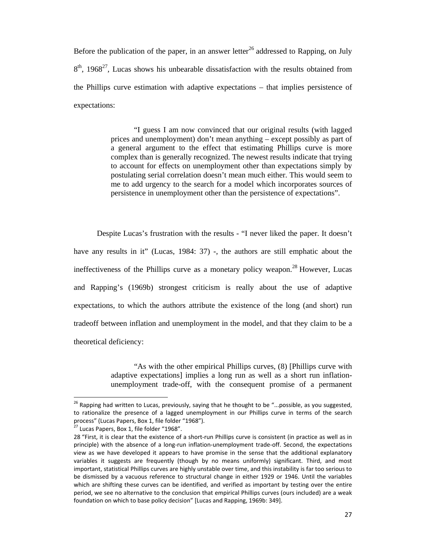Before the publication of the paper, in an answer letter<sup>26</sup> addressed to Rapping, on July  $8<sup>th</sup>$ , 1968<sup>27</sup>, Lucas shows his unbearable dissatisfaction with the results obtained from the Phillips curve estimation with adaptive expectations – that implies persistence of expectations:

> "I guess I am now convinced that our original results (with lagged prices and unemployment) don't mean anything – except possibly as part of a general argument to the effect that estimating Phillips curve is more complex than is generally recognized. The newest results indicate that trying to account for effects on unemployment other than expectations simply by postulating serial correlation doesn't mean much either. This would seem to me to add urgency to the search for a model which incorporates sources of persistence in unemployment other than the persistence of expectations".

 Despite Lucas's frustration with the results - "I never liked the paper. It doesn't have any results in it" (Lucas, 1984: 37) -, the authors are still emphatic about the ineffectiveness of the Phillips curve as a monetary policy weapon.28 However, Lucas and Rapping's (1969b) strongest criticism is really about the use of adaptive expectations, to which the authors attribute the existence of the long (and short) run tradeoff between inflation and unemployment in the model, and that they claim to be a theoretical deficiency:

> "As with the other empirical Phillips curves, (8) [Phillips curve with adaptive expectations] implies a long run as well as a short run inflationunemployment trade-off, with the consequent promise of a permanent

 $26$  Rapping had written to Lucas, previously, saying that he thought to be "...possible, as you suggested, to rationalize the presence of a lagged unemployment in our Phillips curve in terms of the search process" (Lucas Papers, Box 1, file folder "1968").<br><sup>27</sup> Lucas Papers, Box 1, file folder "1968".

<sup>28 &</sup>quot;First, it is clear that the existence of a short-run Phillips curve is consistent (in practice as well as in principle) with the absence of a long-run inflation-unemployment trade-off. Second, the expectations view as we have developed it appears to have promise in the sense that the additional explanatory variables it suggests are frequently (though by no means uniformly) significant. Third, and most important, statistical Phillips curves are highly unstable over time, and this instability is far too serious to be dismissed by a vacuous reference to structural change in either 1929 or 1946. Until the variables which are shifting these curves can be identified, and verified as important by testing over the entire period, we see no alternative to the conclusion that empirical Phillips curves (ours included) are a weak foundation on which to base policy decision" [Lucas and Rapping, 1969b: 349].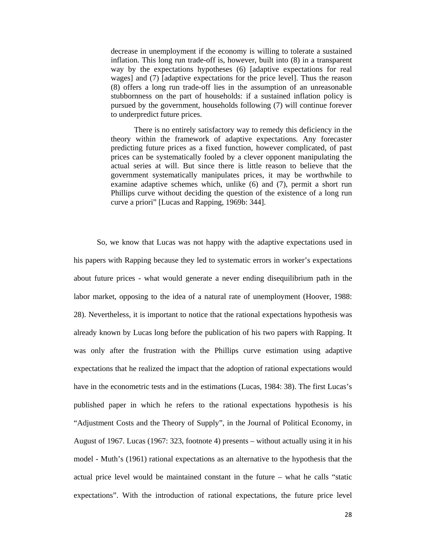decrease in unemployment if the economy is willing to tolerate a sustained inflation. This long run trade-off is, however, built into (8) in a transparent way by the expectations hypotheses (6) [adaptive expectations for real wages] and (7) [adaptive expectations for the price level]. Thus the reason (8) offers a long run trade-off lies in the assumption of an unreasonable stubbornness on the part of households: if a sustained inflation policy is pursued by the government, households following (7) will continue forever to underpredict future prices.

There is no entirely satisfactory way to remedy this deficiency in the theory within the framework of adaptive expectations. Any forecaster predicting future prices as a fixed function, however complicated, of past prices can be systematically fooled by a clever opponent manipulating the actual series at will. But since there is little reason to believe that the government systematically manipulates prices, it may be worthwhile to examine adaptive schemes which, unlike (6) and (7), permit a short run Phillips curve without deciding the question of the existence of a long run curve a priori" [Lucas and Rapping, 1969b: 344].

 So, we know that Lucas was not happy with the adaptive expectations used in his papers with Rapping because they led to systematic errors in worker's expectations about future prices - what would generate a never ending disequilibrium path in the labor market, opposing to the idea of a natural rate of unemployment (Hoover, 1988: 28). Nevertheless, it is important to notice that the rational expectations hypothesis was already known by Lucas long before the publication of his two papers with Rapping. It was only after the frustration with the Phillips curve estimation using adaptive expectations that he realized the impact that the adoption of rational expectations would have in the econometric tests and in the estimations (Lucas, 1984: 38). The first Lucas's published paper in which he refers to the rational expectations hypothesis is his "Adjustment Costs and the Theory of Supply", in the Journal of Political Economy, in August of 1967. Lucas (1967: 323, footnote 4) presents – without actually using it in his model - Muth's (1961) rational expectations as an alternative to the hypothesis that the actual price level would be maintained constant in the future – what he calls "static expectations". With the introduction of rational expectations, the future price level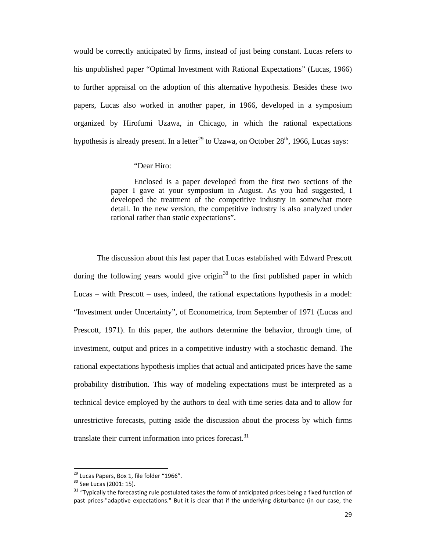would be correctly anticipated by firms, instead of just being constant. Lucas refers to his unpublished paper "Optimal Investment with Rational Expectations" (Lucas, 1966) to further appraisal on the adoption of this alternative hypothesis. Besides these two papers, Lucas also worked in another paper, in 1966, developed in a symposium organized by Hirofumi Uzawa, in Chicago, in which the rational expectations hypothesis is already present. In a letter<sup>29</sup> to Uzawa, on October  $28<sup>th</sup>$ , 1966, Lucas says:

## "Dear Hiro:

Enclosed is a paper developed from the first two sections of the paper I gave at your symposium in August. As you had suggested, I developed the treatment of the competitive industry in somewhat more detail. In the new version, the competitive industry is also analyzed under rational rather than static expectations".

The discussion about this last paper that Lucas established with Edward Prescott during the following years would give origin<sup>30</sup> to the first published paper in which Lucas – with Prescott – uses, indeed, the rational expectations hypothesis in a model: "Investment under Uncertainty", of Econometrica, from September of 1971 (Lucas and Prescott, 1971). In this paper, the authors determine the behavior, through time, of investment, output and prices in a competitive industry with a stochastic demand. The rational expectations hypothesis implies that actual and anticipated prices have the same probability distribution. This way of modeling expectations must be interpreted as a technical device employed by the authors to deal with time series data and to allow for unrestrictive forecasts, putting aside the discussion about the process by which firms translate their current information into prices forecast. $31$ 

<sup>&</sup>lt;sup>29</sup> Lucas Papers, Box 1, file folder "1966".<br><sup>30</sup> See Lucas (2001: 15).

<sup>&</sup>lt;sup>31</sup> "Typically the forecasting rule postulated takes the form of anticipated prices being a fixed function of past prices-"adaptive expectations." But it is clear that if the underlying disturbance (in our case, the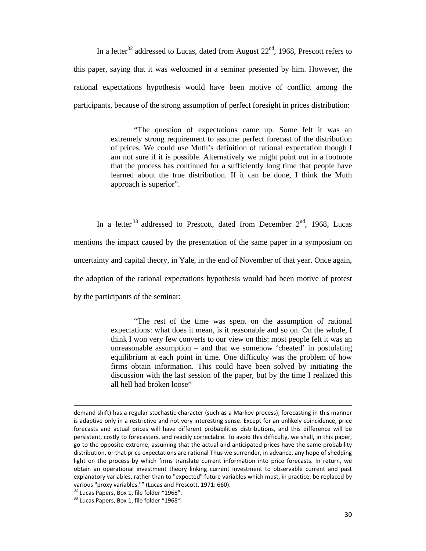In a letter<sup>32</sup> addressed to Lucas, dated from August  $22<sup>nd</sup>$ , 1968, Prescott refers to this paper, saying that it was welcomed in a seminar presented by him. However, the rational expectations hypothesis would have been motive of conflict among the participants, because of the strong assumption of perfect foresight in prices distribution:

> "The question of expectations came up. Some felt it was an extremely strong requirement to assume perfect forecast of the distribution of prices. We could use Muth's definition of rational expectation though I am not sure if it is possible. Alternatively we might point out in a footnote that the process has continued for a sufficiently long time that people have learned about the true distribution. If it can be done, I think the Muth approach is superior".

In a letter<sup>33</sup> addressed to Prescott, dated from December  $2<sup>nd</sup>$ , 1968, Lucas mentions the impact caused by the presentation of the same paper in a symposium on uncertainty and capital theory, in Yale, in the end of November of that year. Once again, the adoption of the rational expectations hypothesis would had been motive of protest by the participants of the seminar:

> "The rest of the time was spent on the assumption of rational expectations: what does it mean, is it reasonable and so on. On the whole, I think I won very few converts to our view on this: most people felt it was an unreasonable assumption – and that we somehow 'cheated' in postulating equilibrium at each point in time. One difficulty was the problem of how firms obtain information. This could have been solved by initiating the discussion with the last session of the paper, but by the time I realized this all hell had broken loose"

demand shift) has a regular stochastic character (such as a Markov process), forecasting in this manner is adaptive only in a restrictive and not very interesting sense. Except for an unlikely coincidence, price forecasts and actual prices will have different probabilities distributions, and this difference will be persistent, costly to forecasters, and readily correctable. To avoid this difficulty, we shall, in this paper, go to the opposite extreme, assuming that the actual and anticipated prices have the same probability distribution, or that price expectations are rational Thus we surrender, in advance, any hope of shedding light on the process by which firms translate current information into price forecasts. In return, we obtain an operational investment theory linking current investment to observable current and past explanatory variables, rather than to "expected" future variables which must, in practice, be replaced by various "proxy variables."" (Lucas and Prescott, 1971: 660).<br><sup>32</sup> Lucas Papers, Box 1, file folder "1968".<br><sup>33</sup> Lucas Papers, Box 1, file folder "1968".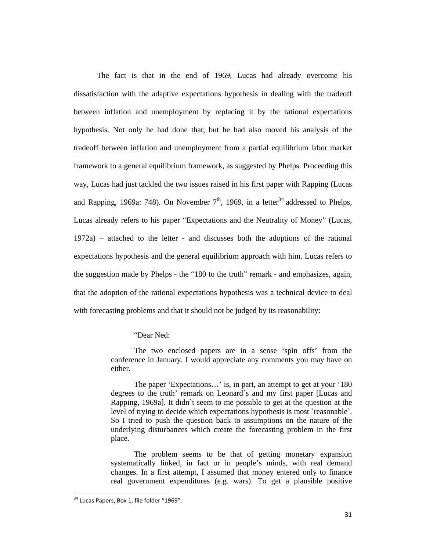The fact is that in the end of 1969, Lucas had already overcome his dissatisfaction with the adaptive expectations hypothesis in dealing with the tradeoff between inflation and unemployment by replacing it by the rational expectations hypothesis. Not only he had done that, but he had also moved his analysis of the tradeoff between inflation and unemployment from a partial equilibrium labor market framework to a general equilibrium framework, as suggested by Phelps. Proceeding this way, Lucas had just tackled the two issues raised in his first paper with Rapping (Lucas and Rapping, 1969a: 748). On November  $7<sup>th</sup>$ , 1969, in a letter<sup>34</sup> addressed to Phelps, Lucas already refers to his paper "Expectations and the Neutrality of Money" (Lucas, 1972a) – attached to the letter - and discusses both the adoptions of the rational expectations hypothesis and the general equilibrium approach with him. Lucas refers to the suggestion made by Phelps - the "180 to the truth" remark - and emphasizes, again, that the adoption of the rational expectations hypothesis was a technical device to deal with forecasting problems and that it should not be judged by its reasonability:

#### "Dear Ned:

The two enclosed papers are in a sense 'spin offs' from the conference in January. I would appreciate any comments you may have on either.

The paper 'Expectations…' is, in part, an attempt to get at your '180 degrees to the truth' remark on Leonard`s and my first paper [Lucas and Rapping, 1969a]. It didn`t seem to me possible to get at the question at the level of trying to decide which expectations hypothesis is most `reasonable`. So I tried to push the question back to assumptions on the nature of the underlying disturbances which create the forecasting problem in the first place.

The problem seems to be that of getting monetary expansion systematically linked, in fact or in people's minds, with real demand changes. In a first attempt, I assumed that money entered only to finance real government expenditures (e.g. wars). To get a plausible positive

 $34$  Lucas Papers, Box 1, file folder "1969".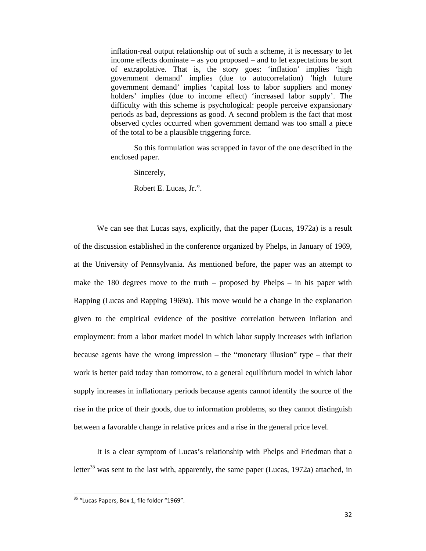inflation-real output relationship out of such a scheme, it is necessary to let income effects dominate – as you proposed – and to let expectations be sort of extrapolative. That is, the story goes: 'inflation' implies 'high government demand' implies (due to autocorrelation) 'high future government demand' implies 'capital loss to labor suppliers and money holders' implies (due to income effect) 'increased labor supply'. The difficulty with this scheme is psychological: people perceive expansionary periods as bad, depressions as good. A second problem is the fact that most observed cycles occurred when government demand was too small a piece of the total to be a plausible triggering force.

So this formulation was scrapped in favor of the one described in the enclosed paper.

Sincerely,

Robert E. Lucas, Jr.".

We can see that Lucas says, explicitly, that the paper (Lucas, 1972a) is a result of the discussion established in the conference organized by Phelps, in January of 1969, at the University of Pennsylvania. As mentioned before, the paper was an attempt to make the 180 degrees move to the truth – proposed by Phelps – in his paper with Rapping (Lucas and Rapping 1969a). This move would be a change in the explanation given to the empirical evidence of the positive correlation between inflation and employment: from a labor market model in which labor supply increases with inflation because agents have the wrong impression – the "monetary illusion" type – that their work is better paid today than tomorrow, to a general equilibrium model in which labor supply increases in inflationary periods because agents cannot identify the source of the rise in the price of their goods, due to information problems, so they cannot distinguish between a favorable change in relative prices and a rise in the general price level.

 It is a clear symptom of Lucas's relationship with Phelps and Friedman that a letter<sup>35</sup> was sent to the last with, apparently, the same paper (Lucas, 1972a) attached, in

<sup>&</sup>lt;sup>35</sup> "Lucas Papers, Box 1, file folder "1969".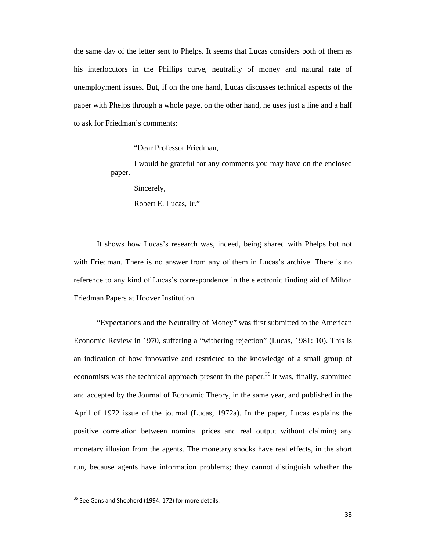the same day of the letter sent to Phelps. It seems that Lucas considers both of them as his interlocutors in the Phillips curve, neutrality of money and natural rate of unemployment issues. But, if on the one hand, Lucas discusses technical aspects of the paper with Phelps through a whole page, on the other hand, he uses just a line and a half to ask for Friedman's comments:

"Dear Professor Friedman,

I would be grateful for any comments you may have on the enclosed paper.

Sincerely,

Robert E. Lucas, Jr."

It shows how Lucas's research was, indeed, being shared with Phelps but not with Friedman. There is no answer from any of them in Lucas's archive. There is no reference to any kind of Lucas's correspondence in the electronic finding aid of Milton Friedman Papers at Hoover Institution.

 "Expectations and the Neutrality of Money" was first submitted to the American Economic Review in 1970, suffering a "withering rejection" (Lucas, 1981: 10). This is an indication of how innovative and restricted to the knowledge of a small group of economists was the technical approach present in the paper.<sup>36</sup> It was, finally, submitted and accepted by the Journal of Economic Theory, in the same year, and published in the April of 1972 issue of the journal (Lucas, 1972a). In the paper, Lucas explains the positive correlation between nominal prices and real output without claiming any monetary illusion from the agents. The monetary shocks have real effects, in the short run, because agents have information problems; they cannot distinguish whether the

<sup>&</sup>lt;sup>36</sup> See Gans and Shepherd (1994: 172) for more details.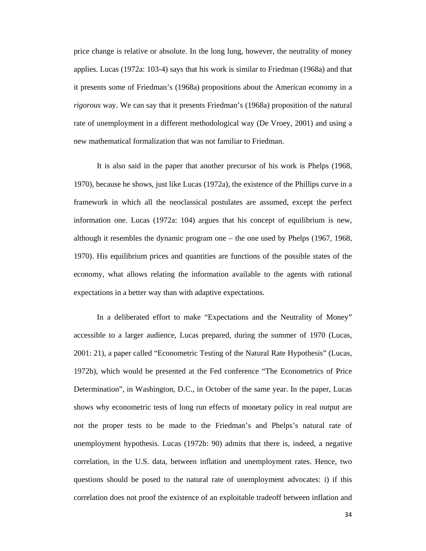price change is relative or absolute. In the long lung, however, the neutrality of money applies. Lucas (1972a: 103-4) says that his work is similar to Friedman (1968a) and that it presents some of Friedman's (1968a) propositions about the American economy in a *rigorous* way. We can say that it presents Friedman's (1968a) proposition of the natural rate of unemployment in a different methodological way (De Vroey, 2001) and using a new mathematical formalization that was not familiar to Friedman.

 It is also said in the paper that another precursor of his work is Phelps (1968, 1970), because he shows, just like Lucas (1972a), the existence of the Phillips curve in a framework in which all the neoclassical postulates are assumed, except the perfect information one. Lucas (1972a: 104) argues that his concept of equilibrium is new, although it resembles the dynamic program one – the one used by Phelps (1967, 1968, 1970). His equilibrium prices and quantities are functions of the possible states of the economy, what allows relating the information available to the agents with rational expectations in a better way than with adaptive expectations.

 In a deliberated effort to make "Expectations and the Neutrality of Money" accessible to a larger audience, Lucas prepared, during the summer of 1970 (Lucas, 2001: 21), a paper called "Econometric Testing of the Natural Rate Hypothesis" (Lucas, 1972b), which would be presented at the Fed conference "The Econometrics of Price Determination", in Washington, D.C., in October of the same year. In the paper, Lucas shows why econometric tests of long run effects of monetary policy in real output are not the proper tests to be made to the Friedman's and Phelps's natural rate of unemployment hypothesis. Lucas (1972b: 90) admits that there is, indeed, a negative correlation, in the U.S. data, between inflation and unemployment rates. Hence, two questions should be posed to the natural rate of unemployment advocates: i) if this correlation does not proof the existence of an exploitable tradeoff between inflation and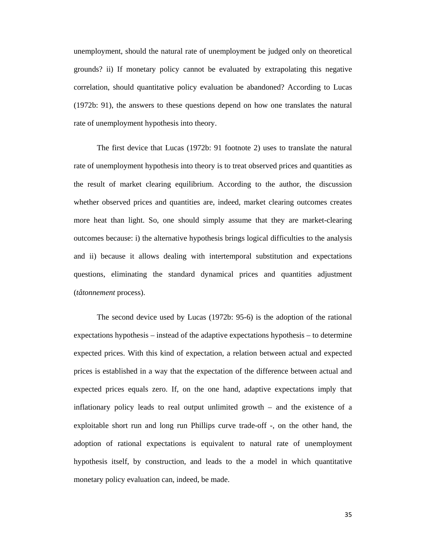unemployment, should the natural rate of unemployment be judged only on theoretical grounds? ii) If monetary policy cannot be evaluated by extrapolating this negative correlation, should quantitative policy evaluation be abandoned? According to Lucas (1972b: 91), the answers to these questions depend on how one translates the natural rate of unemployment hypothesis into theory.

 The first device that Lucas (1972b: 91 footnote 2) uses to translate the natural rate of unemployment hypothesis into theory is to treat observed prices and quantities as the result of market clearing equilibrium. According to the author, the discussion whether observed prices and quantities are, indeed, market clearing outcomes creates more heat than light. So, one should simply assume that they are market-clearing outcomes because: i) the alternative hypothesis brings logical difficulties to the analysis and ii) because it allows dealing with intertemporal substitution and expectations questions, eliminating the standard dynamical prices and quantities adjustment (*tâtonnement* process).

 The second device used by Lucas (1972b: 95-6) is the adoption of the rational expectations hypothesis – instead of the adaptive expectations hypothesis – to determine expected prices. With this kind of expectation, a relation between actual and expected prices is established in a way that the expectation of the difference between actual and expected prices equals zero. If, on the one hand, adaptive expectations imply that inflationary policy leads to real output unlimited growth – and the existence of a exploitable short run and long run Phillips curve trade-off -, on the other hand, the adoption of rational expectations is equivalent to natural rate of unemployment hypothesis itself, by construction, and leads to the a model in which quantitative monetary policy evaluation can, indeed, be made.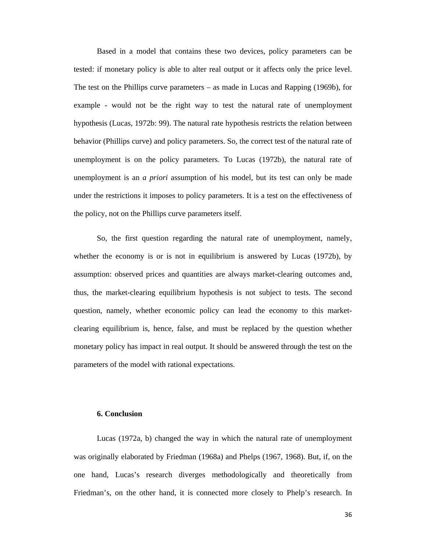Based in a model that contains these two devices, policy parameters can be tested: if monetary policy is able to alter real output or it affects only the price level. The test on the Phillips curve parameters – as made in Lucas and Rapping (1969b), for example - would not be the right way to test the natural rate of unemployment hypothesis (Lucas, 1972b: 99). The natural rate hypothesis restricts the relation between behavior (Phillips curve) and policy parameters. So, the correct test of the natural rate of unemployment is on the policy parameters. To Lucas (1972b), the natural rate of unemployment is an *a priori* assumption of his model, but its test can only be made under the restrictions it imposes to policy parameters. It is a test on the effectiveness of the policy, not on the Phillips curve parameters itself.

 So, the first question regarding the natural rate of unemployment, namely, whether the economy is or is not in equilibrium is answered by Lucas (1972b), by assumption: observed prices and quantities are always market-clearing outcomes and, thus, the market-clearing equilibrium hypothesis is not subject to tests. The second question, namely, whether economic policy can lead the economy to this marketclearing equilibrium is, hence, false, and must be replaced by the question whether monetary policy has impact in real output. It should be answered through the test on the parameters of the model with rational expectations.

## **6. Conclusion**

 Lucas (1972a, b) changed the way in which the natural rate of unemployment was originally elaborated by Friedman (1968a) and Phelps (1967, 1968). But, if, on the one hand, Lucas's research diverges methodologically and theoretically from Friedman's, on the other hand, it is connected more closely to Phelp's research. In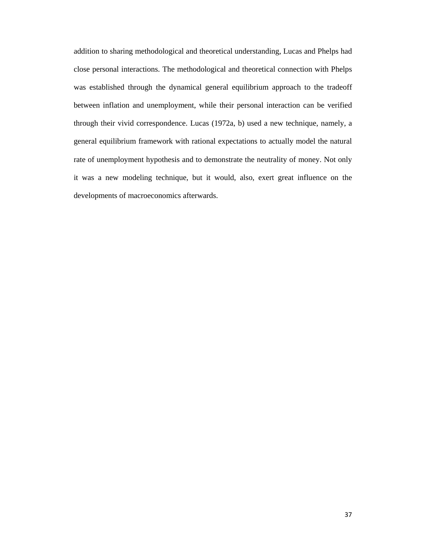addition to sharing methodological and theoretical understanding, Lucas and Phelps had close personal interactions. The methodological and theoretical connection with Phelps was established through the dynamical general equilibrium approach to the tradeoff between inflation and unemployment, while their personal interaction can be verified through their vivid correspondence. Lucas (1972a, b) used a new technique, namely, a general equilibrium framework with rational expectations to actually model the natural rate of unemployment hypothesis and to demonstrate the neutrality of money. Not only it was a new modeling technique, but it would, also, exert great influence on the developments of macroeconomics afterwards.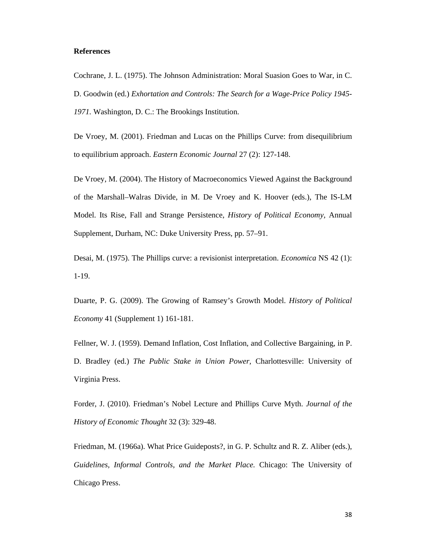## **References**

Cochrane, J. L. (1975). The Johnson Administration: Moral Suasion Goes to War, in C. D. Goodwin (ed.) *Exhortation and Controls: The Search for a Wage-Price Policy 1945- 1971.* Washington, D. C.: The Brookings Institution.

De Vroey, M. (2001). Friedman and Lucas on the Phillips Curve: from disequilibrium to equilibrium approach. *Eastern Economic Journal* 27 (2): 127-148.

De Vroey, M. (2004). The History of Macroeconomics Viewed Against the Background of the Marshall–Walras Divide, in M. De Vroey and K. Hoover (eds.), The IS-LM Model. Its Rise, Fall and Strange Persistence, *History of Political Economy,* Annual Supplement, Durham, NC: Duke University Press, pp. 57–91.

Desai, M. (1975). The Phillips curve: a revisionist interpretation. *Economica* NS 42 (1): 1-19.

Duarte, P. G. (2009). The Growing of Ramsey's Growth Model. *History of Political Economy* 41 (Supplement 1) 161-181.

Fellner, W. J. (1959). Demand Inflation, Cost Inflation, and Collective Bargaining, in P. D. Bradley (ed.) *The Public Stake in Union Power,* Charlottesville: University of Virginia Press.

Forder, J. (2010). Friedman's Nobel Lecture and Phillips Curve Myth. *Journal of the History of Economic Thought* 32 (3): 329-48.

Friedman, M. (1966a). What Price Guideposts?, in G. P. Schultz and R. Z. Aliber (eds.), *Guidelines, Informal Controls, and the Market Place.* Chicago: The University of Chicago Press.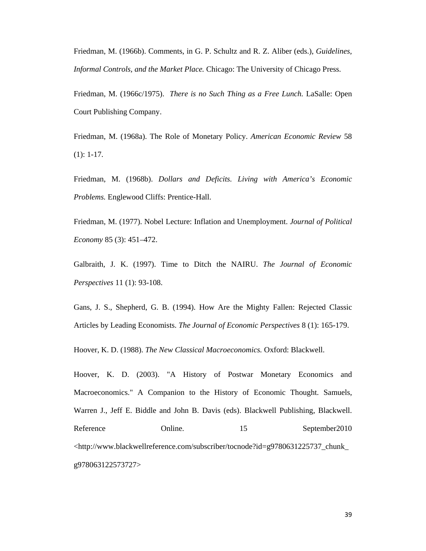Friedman, M. (1966b). Comments, in G. P. Schultz and R. Z. Aliber (eds.), *Guidelines, Informal Controls, and the Market Place.* Chicago: The University of Chicago Press.

Friedman, M. (1966c/1975). *There is no Such Thing as a Free Lunch.* LaSalle: Open Court Publishing Company.

Friedman, M. (1968a). The Role of Monetary Policy. *American Economic Review* 58 (1): 1-17.

Friedman, M. (1968b). *Dollars and Deficits. Living with America's Economic Problems.* Englewood Cliffs: Prentice-Hall.

Friedman, M. (1977). Nobel Lecture: Inflation and Unemployment. *Journal of Political Economy* 85 (3): 451–472.

Galbraith, J. K. (1997). Time to Ditch the NAIRU. *The Journal of Economic Perspectives* 11 (1): 93-108.

Gans, J. S., Shepherd, G. B. (1994). How Are the Mighty Fallen: Rejected Classic Articles by Leading Economists. *The Journal of Economic Perspectives* 8 (1): 165-179.

Hoover, K. D. (1988). *The New Classical Macroeconomics.* Oxford: Blackwell.

Hoover, K. D. (2003). "A History of Postwar Monetary Economics and Macroeconomics." A Companion to the History of Economic Thought. Samuels, Warren J., Jeff E. Biddle and John B. Davis (eds). Blackwell Publishing, Blackwell. Reference Online. 15 September2010 <http://www.blackwellreference.com/subscriber/tocnode?id=g9780631225737\_chunk\_ g978063122573727>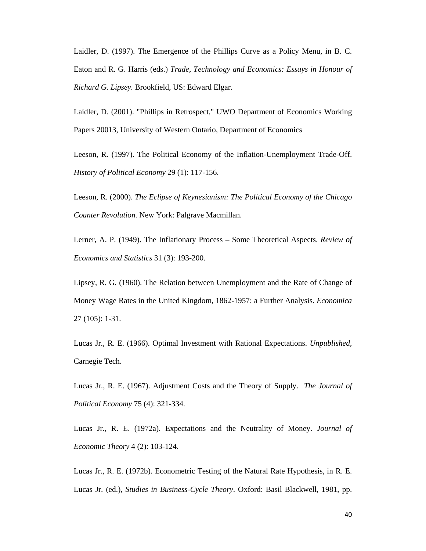Laidler, D. (1997). The Emergence of the Phillips Curve as a Policy Menu, in B. C. Eaton and R. G. Harris (eds.) *Trade, Technology and Economics: Essays in Honour of Richard G. Lipsey.* Brookfield, US: Edward Elgar.

Laidler, D. (2001). "Phillips in Retrospect," UWO Department of Economics Working Papers 20013, University of Western Ontario, Department of Economics

Leeson, R. (1997). The Political Economy of the Inflation-Unemployment Trade-Off. *History of Political Economy* 29 (1): 117-156.

Leeson, R. (2000). *The Eclipse of Keynesianism: The Political Economy of the Chicago Counter Revolution.* New York: Palgrave Macmillan.

Lerner, A. P. (1949). The Inflationary Process – Some Theoretical Aspects. *Review of Economics and Statistics* 31 (3): 193-200.

Lipsey, R. G. (1960). The Relation between Unemployment and the Rate of Change of Money Wage Rates in the United Kingdom, 1862-1957: a Further Analysis. *Economica*  27 (105): 1-31.

Lucas Jr., R. E. (1966). Optimal Investment with Rational Expectations. *Unpublished,*  Carnegie Tech.

Lucas Jr., R. E. (1967). Adjustment Costs and the Theory of Supply. *The Journal of Political Economy* 75 (4): 321-334.

Lucas Jr., R. E. (1972a). Expectations and the Neutrality of Money. *Journal of Economic Theory* 4 (2): 103-124.

Lucas Jr., R. E. (1972b). Econometric Testing of the Natural Rate Hypothesis, in R. E. Lucas Jr. (ed.), *Studies in Business-Cycle Theory*. Oxford: Basil Blackwell, 1981, pp.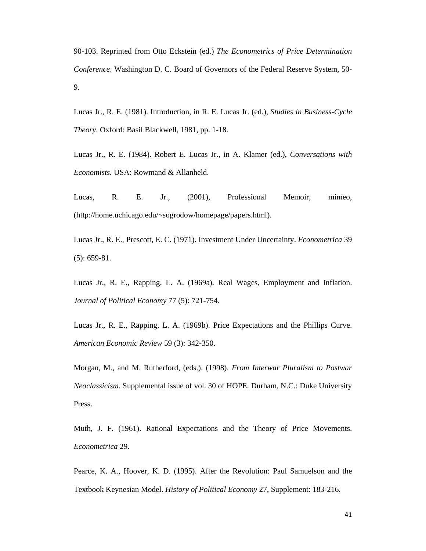90-103. Reprinted from Otto Eckstein (ed.) *The Econometrics of Price Determination Conference*. Washington D. C. Board of Governors of the Federal Reserve System, 50- 9.

Lucas Jr., R. E. (1981). Introduction, in R. E. Lucas Jr. (ed.), *Studies in Business-Cycle Theory*. Oxford: Basil Blackwell, 1981, pp. 1-18.

Lucas Jr., R. E. (1984). Robert E. Lucas Jr., in A. Klamer (ed.), *Conversations with Economists.* USA: Rowmand & Allanheld.

Lucas, R. E. Jr., (2001), Professional Memoir, mimeo, (http://home.uchicago.edu/~sogrodow/homepage/papers.html).

Lucas Jr., R. E., Prescott, E. C. (1971). Investment Under Uncertainty. *Econometrica* 39 (5): 659-81.

Lucas Jr., R. E., Rapping, L. A. (1969a). Real Wages, Employment and Inflation. *Journal of Political Economy* 77 (5): 721-754.

Lucas Jr., R. E., Rapping, L. A. (1969b). Price Expectations and the Phillips Curve. *American Economic Review* 59 (3): 342-350.

Morgan, M., and M. Rutherford, (eds.). (1998). *From Interwar Pluralism to Postwar Neoclassicism.* Supplemental issue of vol. 30 of HOPE. Durham, N.C.: Duke University Press.

Muth, J. F. (1961). Rational Expectations and the Theory of Price Movements. *Econometrica* 29.

Pearce, K. A., Hoover, K. D. (1995). After the Revolution: Paul Samuelson and the Textbook Keynesian Model. *History of Political Economy* 27, Supplement: 183-216.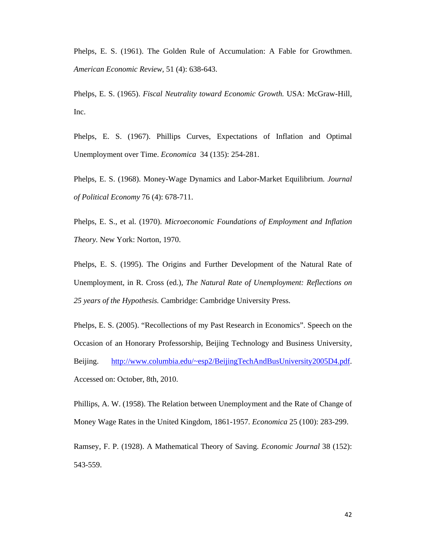Phelps, E. S. (1961). The Golden Rule of Accumulation: A Fable for Growthmen. *American Economic Review,* 51 (4): 638-643.

Phelps, E. S. (1965). *Fiscal Neutrality toward Economic Growth.* USA: McGraw-Hill, Inc.

Phelps, E. S. (1967). Phillips Curves, Expectations of Inflation and Optimal Unemployment over Time. *Economica* 34 (135): 254-281.

Phelps, E. S. (1968). Money-Wage Dynamics and Labor-Market Equilibrium. *Journal of Political Economy* 76 (4): 678-711.

Phelps, E. S., et al. (1970). *Microeconomic Foundations of Employment and Inflation Theory.* New York: Norton, 1970.

Phelps, E. S. (1995). The Origins and Further Development of the Natural Rate of Unemployment, in R. Cross (ed.), *The Natural Rate of Unemployment: Reflections on 25 years of the Hypothesis.* Cambridge: Cambridge University Press.

Phelps, E. S. (2005). "Recollections of my Past Research in Economics". Speech on the Occasion of an Honorary Professorship, Beijing Technology and Business University, Beijing. http://www.columbia.edu/~esp2/BeijingTechAndBusUniversity2005D4.pdf. Accessed on: October, 8th, 2010.

Phillips, A. W. (1958). The Relation between Unemployment and the Rate of Change of Money Wage Rates in the United Kingdom, 1861-1957. *Economica* 25 (100): 283-299.

Ramsey, F. P. (1928). A Mathematical Theory of Saving. *Economic Journal* 38 (152): 543-559.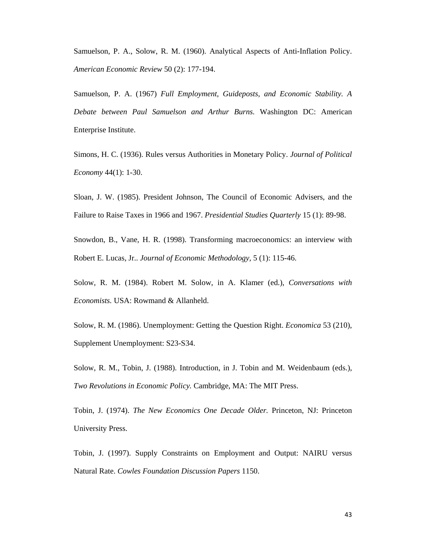Samuelson, P. A., Solow, R. M. (1960). Analytical Aspects of Anti-Inflation Policy. *American Economic Review* 50 (2): 177-194.

Samuelson, P. A. (1967) *Full Employment, Guideposts, and Economic Stability. A Debate between Paul Samuelson and Arthur Burns.* Washington DC: American Enterprise Institute.

Simons, H. C. (1936). Rules versus Authorities in Monetary Policy. *Journal of Political Economy* 44(1): 1-30.

Sloan, J. W. (1985). President Johnson, The Council of Economic Advisers, and the Failure to Raise Taxes in 1966 and 1967. *Presidential Studies Quarterly* 15 (1): 89-98.

Snowdon, B., Vane, H. R. (1998). Transforming macroeconomics: an interview with Robert E. Lucas, Jr.. *Journal of Economic Methodology,* 5 (1): 115-46.

Solow, R. M. (1984). Robert M. Solow, in A. Klamer (ed.), *Conversations with Economists.* USA: Rowmand & Allanheld.

Solow, R. M. (1986). Unemployment: Getting the Question Right. *Economica* 53 (210), Supplement Unemployment: S23-S34.

Solow, R. M., Tobin, J. (1988). Introduction, in J. Tobin and M. Weidenbaum (eds.), *Two Revolutions in Economic Policy.* Cambridge, MA: The MIT Press.

Tobin, J. (1974). *The New Economics One Decade Older.* Princeton, NJ: Princeton University Press.

Tobin, J. (1997). Supply Constraints on Employment and Output: NAIRU versus Natural Rate. *Cowles Foundation Discussion Papers* 1150.